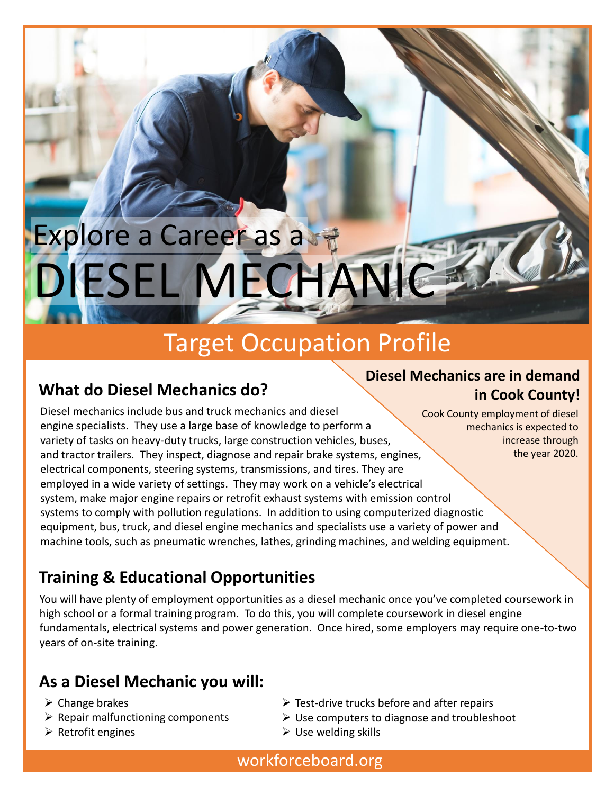# DIESEL MECHANI Explore a Career as a

# Target Occupation Profile

## **What do Diesel Mechanics do?**

Diesel mechanics include bus and truck mechanics and diesel engine specialists. They use a large base of knowledge to perform a variety of tasks on heavy-duty trucks, large construction vehicles, buses, and tractor trailers. They inspect, diagnose and repair brake systems, engines, electrical components, steering systems, transmissions, and tires. They are employed in a wide variety of settings. They may work on a vehicle's electrical system, make major engine repairs or retrofit exhaust systems with emission control systems to comply with pollution regulations. In addition to using computerized diagnostic equipment, bus, truck, and diesel engine mechanics and specialists use a variety of power and machine tools, such as pneumatic wrenches, lathes, grinding machines, and welding equipment.

# **Training & Educational Opportunities**

You will have plenty of employment opportunities as a diesel mechanic once you've completed coursework in high school or a formal training program. To do this, you will complete coursework in diesel engine fundamentals, electrical systems and power generation. Once hired, some employers may require one-to-two years of on-site training.

# **As a Diesel Mechanic you will:**

- $\triangleright$  Change brakes
- $\triangleright$  Repair malfunctioning components
- $\triangleright$  Retrofit engines
- $\triangleright$  Test-drive trucks before and after repairs
- $\triangleright$  Use computers to diagnose and troubleshoot
- $\triangleright$  Use welding skills

#### **Diesel Mechanics are in demand in Cook County!**

Cook County employment of diesel mechanics is expected to increase through the year 2020.